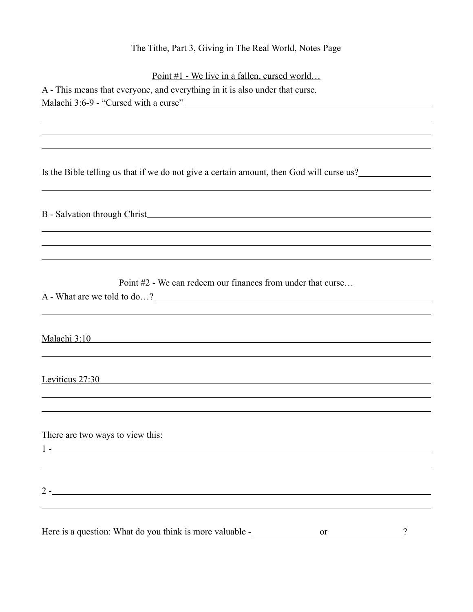## The Tithe, Part 3, Giving in The Real World, Notes Page

Point #1 - We live in a fallen, cursed world…

| A - This means that everyone, and everything in it is also under that curse. |  |
|------------------------------------------------------------------------------|--|
| Malachi 3:6-9 - "Cursed with a curse"                                        |  |

Is the Bible telling us that if we do not give a certain amount, then God will curse us?

B - Salvation through Christ

Point #2 - We can redeem our finances from under that curse…

A - What are we told to do…?

Malachi 3:10

 $\overline{a}$ 

 $\overline{a}$ 

 $\overline{a}$ 

 $\overline{a}$ 

 $\overline{a}$ 

Leviticus 27:30

There are two ways to view this: 1 -

 $\overline{a}$ 

<u>2 - 2000 - 2000 - 2000 - 2000 - 2000 - 2000 - 2000 - 2000 - 2000 - 2000 - 2000 - 2000 - 2000 - 2000 - 2000 - 2000 - 2000 - 2000 - 2000 - 2000 - 2000 - 2000 - 2000 - 2000 - 2000 - 2000 - 2000 - 2000 - 2000 - 2000 - 2000 - </u>

Here is a question: What do you think is more valuable - \_\_\_\_\_\_\_\_\_\_\_\_\_\_\_\_\_\_\_\_\_\_\_\_\_\_\_?